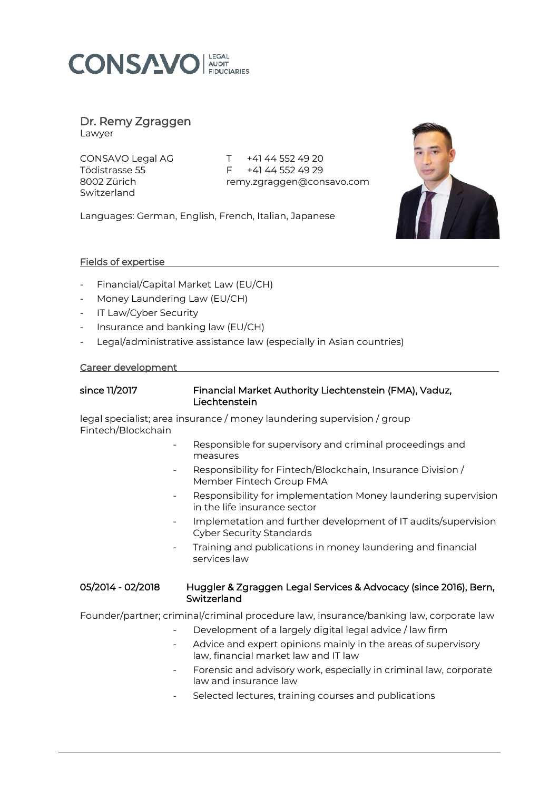

# Dr. Remy Zgraggen

Lawyer

Switzerland

CONSAVO Legal AG T+41 44 552 49 20 Tödistrasse 55 F +41 44 552 49 29<br>8002 Zürich Femy.zaragaen@con remy.zgraggen@consavo.com

Languages: German, English, French, Italian, Japanese



## Fields of expertise

- Financial/Capital Market Law (EU/CH)
- Money Laundering Law (EU/CH)
- IT Law/Cyber Security
- Insurance and banking law (EU/CH)
- Legal/administrative assistance law (especially in Asian countries)

### Career development

| since 11/2017 | Financial Market Authority Liechtenstein (FMA), Vaduz, |
|---------------|--------------------------------------------------------|
|               | Liechtenstein                                          |

legal specialist; area insurance / money laundering supervision / group Fintech/Blockchain

- Responsible for supervisory and criminal proceedings and measures
- Responsibility for Fintech/Blockchain, Insurance Division / Member Fintech Group FMA
- Responsibility for implementation Money laundering supervision in the life insurance sector
- Implemetation and further development of IT audits/supervision Cyber Security Standards
- Training and publications in money laundering and financial services law

### 05/2014 - 02/2018 Huggler & Zgraggen Legal Services & Advocacy (since 2016), Bern, **Switzerland**

Founder/partner; criminal/criminal procedure law, insurance/banking law, corporate law

- Development of a largely digital legal advice / law firm
- Advice and expert opinions mainly in the areas of supervisory law, financial market law and IT law
- Forensic and advisory work, especially in criminal law, corporate law and insurance law
- Selected lectures, training courses and publications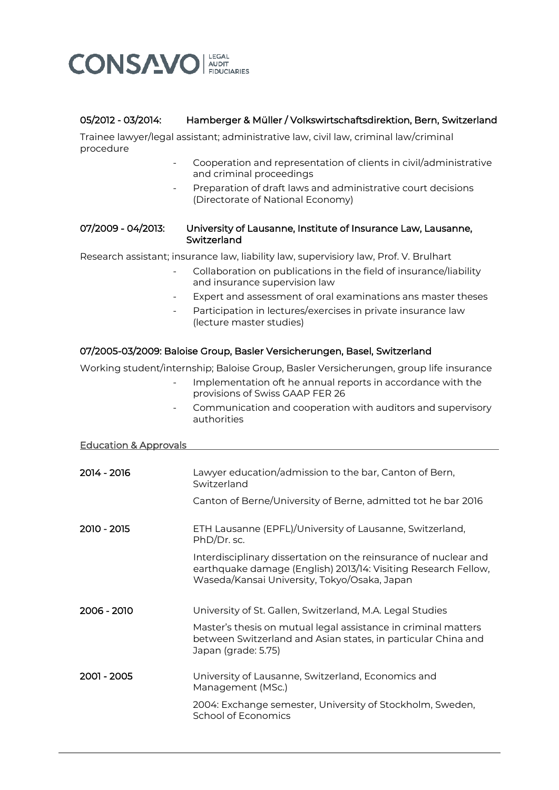

# 05/2012 - 03/2014: Hamberger & Müller / Volkswirtschaftsdirektion, Bern, Switzerland

Trainee lawyer/legal assistant; administrative law, civil law, criminal law/criminal procedure

- Cooperation and representation of clients in civil/administrative and criminal proceedings
- Preparation of draft laws and administrative court decisions (Directorate of National Economy)

#### 07/2009 - 04/2013: University of Lausanne, Institute of Insurance Law, Lausanne, Switzerland

Research assistant; insurance law, liability law, supervisiory law, Prof. V. Brulhart

- Collaboration on publications in the field of insurance/liability and insurance supervision law
- Expert and assessment of oral examinations ans master theses
- Participation in lectures/exercises in private insurance law (lecture master studies)

## 07/2005-03/2009: Baloise Group, Basler Versicherungen, Basel, Switzerland

Working student/internship; Baloise Group, Basler Versicherungen, group life insurance

- Implementation oft he annual reports in accordance with the provisions of Swiss GAAP FER 26
- Communication and cooperation with auditors and supervisory authorities

#### Education & Approvals

| 2014 - 2016 | Lawyer education/admission to the bar, Canton of Bern,<br>Switzerland                                                                                                              |
|-------------|------------------------------------------------------------------------------------------------------------------------------------------------------------------------------------|
|             | Canton of Berne/University of Berne, admitted tot he bar 2016                                                                                                                      |
| 2010 - 2015 | ETH Lausanne (EPFL)/University of Lausanne, Switzerland,<br>PhD/Dr. sc.                                                                                                            |
|             | Interdisciplinary dissertation on the reinsurance of nuclear and<br>earthquake damage (English) 2013/14: Visiting Research Fellow,<br>Waseda/Kansai University, Tokyo/Osaka, Japan |
| 2006 - 2010 | University of St. Gallen, Switzerland, M.A. Legal Studies                                                                                                                          |
|             | Master's thesis on mutual legal assistance in criminal matters<br>between Switzerland and Asian states, in particular China and<br>Japan (grade: 5.75)                             |
| 2001 - 2005 | University of Lausanne, Switzerland, Economics and<br>Management (MSc.)                                                                                                            |
|             | 2004: Exchange semester, University of Stockholm, Sweden,<br>School of Economics                                                                                                   |